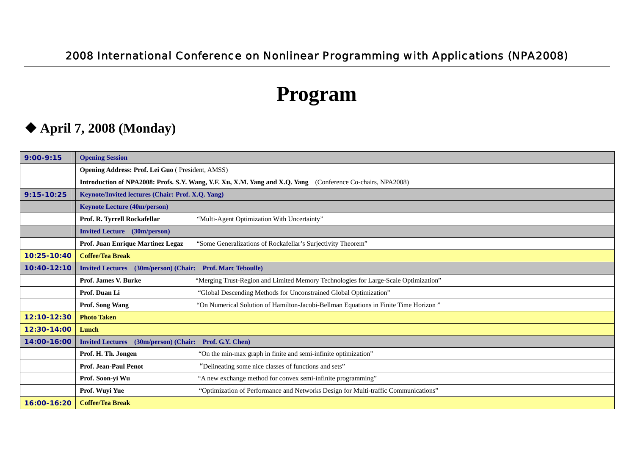### 2008 International Conference on Nonlinear Programming with Applications (NPA2008)

# **Program**

## **April 7, 2008 (Monday)**

| $9:00 - 9:15$  | <b>Opening Session</b>                                                                                      |                                                                                     |  |
|----------------|-------------------------------------------------------------------------------------------------------------|-------------------------------------------------------------------------------------|--|
|                | Opening Address: Prof. Lei Guo (President, AMSS)                                                            |                                                                                     |  |
|                | Introduction of NPA2008: Profs. S.Y. Wang, Y.F. Xu, X.M. Yang and X.Q. Yang (Conference Co-chairs, NPA2008) |                                                                                     |  |
| $9:15 - 10:25$ | Keynote/Invited lectures (Chair: Prof. X.Q. Yang)                                                           |                                                                                     |  |
|                | <b>Keynote Lecture (40m/person)</b>                                                                         |                                                                                     |  |
|                | Prof. R. Tyrrell Rockafellar                                                                                | "Multi-Agent Optimization With Uncertainty"                                         |  |
|                | <b>Invited Lecture</b> (30m/person)                                                                         |                                                                                     |  |
|                | Prof. Juan Enrique Martinez Legaz<br>"Some Generalizations of Rockafellar's Surjectivity Theorem"           |                                                                                     |  |
| 10:25-10:40    | <b>Coffee/Tea Break</b>                                                                                     |                                                                                     |  |
| 10:40-12:10    | Invited Lectures (30m/person) (Chair: Prof. Marc Teboulle)                                                  |                                                                                     |  |
|                | <b>Prof. James V. Burke</b>                                                                                 | "Merging Trust-Region and Limited Memory Technologies for Large-Scale Optimization" |  |
|                | Prof. Duan Li                                                                                               | "Global Descending Methods for Unconstrained Global Optimization"                   |  |
|                | Prof. Song Wang                                                                                             | "On Numerical Solution of Hamilton-Jacobi-Bellman Equations in Finite Time Horizon" |  |
| 12:10-12:30    | <b>Photo Taken</b>                                                                                          |                                                                                     |  |
| 12:30-14:00    | Lunch                                                                                                       |                                                                                     |  |
| 14:00-16:00    | (30m/person) (Chair: Prof. G.Y. Chen)<br><b>Invited Lectures</b>                                            |                                                                                     |  |
|                | Prof. H. Th. Jongen                                                                                         | "On the min-max graph in finite and semi-infinite optimization"                     |  |
|                | <b>Prof. Jean-Paul Penot</b>                                                                                | "Delineating some nice classes of functions and sets"                               |  |
|                | Prof. Soon-yi Wu                                                                                            | "A new exchange method for convex semi-infinite programming"                        |  |
|                | Prof. Wuyi Yue                                                                                              | "Optimization of Performance and Networks Design for Multi-traffic Communications"  |  |
| 16:00-16:20    | <b>Coffee/Tea Break</b>                                                                                     |                                                                                     |  |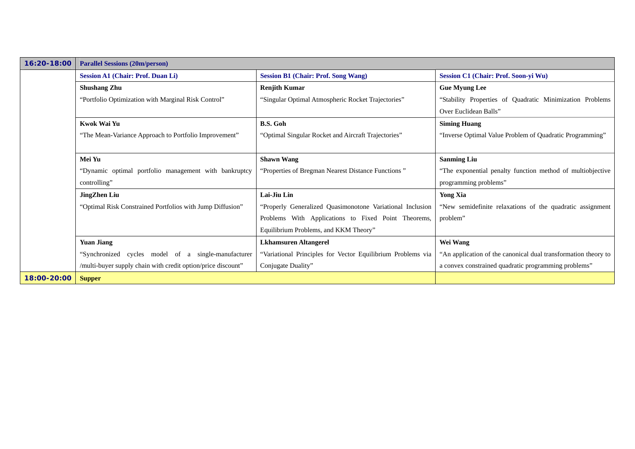| 16:20-18:00                                               | <b>Parallel Sessions (20m/person)</b>                        |                                                             |                                                                |
|-----------------------------------------------------------|--------------------------------------------------------------|-------------------------------------------------------------|----------------------------------------------------------------|
|                                                           | <b>Session A1 (Chair: Prof. Duan Li)</b>                     | <b>Session B1 (Chair: Prof. Song Wang)</b>                  | Session C1 (Chair: Prof. Soon-yi Wu)                           |
|                                                           | <b>Shushang Zhu</b>                                          | <b>Renjith Kumar</b>                                        | <b>Gue Myung Lee</b>                                           |
|                                                           | "Portfolio Optimization with Marginal Risk Control"          | "Singular Optimal Atmospheric Rocket Trajectories"          | "Stability Properties of Quadratic Minimization Problems       |
|                                                           |                                                              |                                                             | Over Euclidean Balls"                                          |
|                                                           | Kwok Wai Yu                                                  | <b>B.S. Goh</b>                                             | <b>Siming Huang</b>                                            |
|                                                           | "The Mean-Variance Approach to Portfolio Improvement"        | "Optimal Singular Rocket and Aircraft Trajectories"         | "Inverse Optimal Value Problem of Quadratic Programming"       |
|                                                           |                                                              |                                                             |                                                                |
| Mei Yu                                                    |                                                              | <b>Shawn Wang</b>                                           | <b>Sanming Liu</b>                                             |
| "Dynamic optimal portfolio management with bankruptcy     |                                                              | "Properties of Bregman Nearest Distance Functions"          | "The exponential penalty function method of multiobjective     |
|                                                           | controlling"                                                 |                                                             | programming problems"                                          |
|                                                           | <b>JingZhen Liu</b>                                          | Lai-Jiu Lin                                                 | <b>Yong Xia</b>                                                |
| "Optimal Risk Constrained Portfolios with Jump Diffusion" |                                                              | "Properly Generalized Quasimonotone Variational Inclusion   | "New semidefinite relaxations of the quadratic assignment      |
|                                                           |                                                              | Problems With Applications to Fixed Point Theorems,         | problem"                                                       |
|                                                           |                                                              | Equilibrium Problems, and KKM Theory"                       |                                                                |
|                                                           | <b>Yuan Jiang</b>                                            | <b>Lkhamsuren Altangerel</b>                                | Wei Wang                                                       |
|                                                           | "Synchronized cycles model of a single-manufacturer          | "Variational Principles for Vector Equilibrium Problems via | "An application of the canonical dual transformation theory to |
|                                                           | /multi-buyer supply chain with credit option/price discount" | Conjugate Duality"                                          | a convex constrained quadratic programming problems"           |
| 18:00-20:00                                               | <b>Supper</b>                                                |                                                             |                                                                |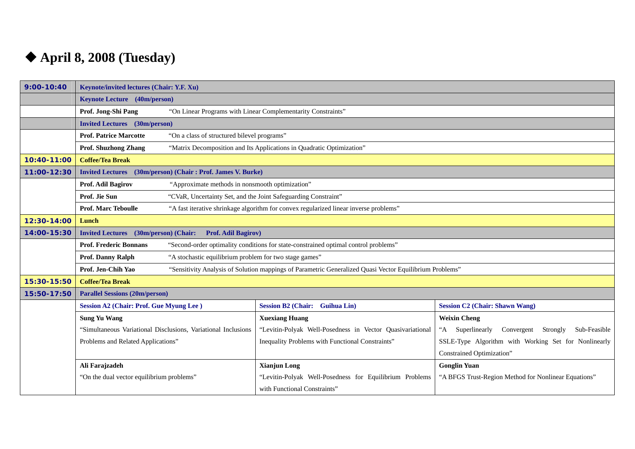# **April 8, 2008 (Tuesday)**

| $9:00 - 10:40$ | Keynote/invited lectures (Chair: Y.F. Xu)                                                                                     |                                                                                       |                                                                       |
|----------------|-------------------------------------------------------------------------------------------------------------------------------|---------------------------------------------------------------------------------------|-----------------------------------------------------------------------|
|                | <b>Keynote Lecture</b> (40m/person)                                                                                           |                                                                                       |                                                                       |
|                | Prof. Jong-Shi Pang                                                                                                           | "On Linear Programs with Linear Complementarity Constraints"                          |                                                                       |
|                | <b>Invited Lectures</b> (30m/person)                                                                                          |                                                                                       |                                                                       |
|                | "On a class of structured bilevel programs"<br><b>Prof. Patrice Marcotte</b>                                                  |                                                                                       |                                                                       |
|                | Prof. Shuzhong Zhang                                                                                                          | "Matrix Decomposition and Its Applications in Quadratic Optimization"                 |                                                                       |
| 10:40-11:00    | <b>Coffee/Tea Break</b>                                                                                                       |                                                                                       |                                                                       |
| 11:00-12:30    | (30m/person) (Chair: Prof. James V. Burke)<br><b>Invited Lectures</b>                                                         |                                                                                       |                                                                       |
|                | Prof. Adil Bagirov<br>"Approximate methods in nonsmooth optimization"                                                         |                                                                                       |                                                                       |
|                | Prof. Jie Sun<br>"CVaR, Uncertainty Set, and the Joint Safeguarding Constraint"                                               |                                                                                       |                                                                       |
|                | <b>Prof. Marc Teboulle</b>                                                                                                    | "A fast iterative shrinkage algorithm for convex regularized linear inverse problems" |                                                                       |
| 12:30-14:00    | Lunch                                                                                                                         |                                                                                       |                                                                       |
| 14:00-15:30    | (30m/person) (Chair:<br><b>Invited Lectures</b><br><b>Prof. Adil Bagirov)</b>                                                 |                                                                                       |                                                                       |
|                | <b>Prof. Frederic Bonnans</b><br>"Second-order optimality conditions for state-constrained optimal control problems"          |                                                                                       |                                                                       |
|                | "A stochastic equilibrium problem for two stage games"<br>Prof. Danny Ralph                                                   |                                                                                       |                                                                       |
|                | Prof. Jen-Chih Yao<br>"Sensitivity Analysis of Solution mappings of Parametric Generalized Quasi Vector Equilibrium Problems" |                                                                                       |                                                                       |
| 15:30-15:50    | <b>Coffee/Tea Break</b>                                                                                                       |                                                                                       |                                                                       |
| 15:50-17:50    | <b>Parallel Sessions (20m/person)</b>                                                                                         |                                                                                       |                                                                       |
|                | <b>Session A2 (Chair: Prof. Gue Myung Lee)</b>                                                                                | <b>Session B2 (Chair: Guihua Lin)</b>                                                 | <b>Session C2 (Chair: Shawn Wang)</b>                                 |
|                | <b>Sung Yu Wang</b>                                                                                                           | <b>Xuexiang Huang</b>                                                                 | <b>Weixin Cheng</b>                                                   |
|                | "Simultaneous Variational Disclusions, Variational Inclusions                                                                 | "Levitin-Polyak Well-Posedness in Vector Quasivariational                             | Superlinearly Convergent Strongly<br>$A^{\cdot\cdot}$<br>Sub-Feasible |
|                | Problems and Related Applications"                                                                                            | Inequality Problems with Functional Constraints"                                      | SSLE-Type Algorithm with Working Set for Nonlinearly                  |
|                |                                                                                                                               |                                                                                       | Constrained Optimization"                                             |
|                | Ali Farajzadeh                                                                                                                | <b>Xianjun Long</b>                                                                   | <b>Gonglin Yuan</b>                                                   |
|                | "On the dual vector equilibrium problems"                                                                                     | "Levitin-Polyak Well-Posedness for Equilibrium Problems                               | "A BFGS Trust-Region Method for Nonlinear Equations"                  |
|                |                                                                                                                               | with Functional Constraints"                                                          |                                                                       |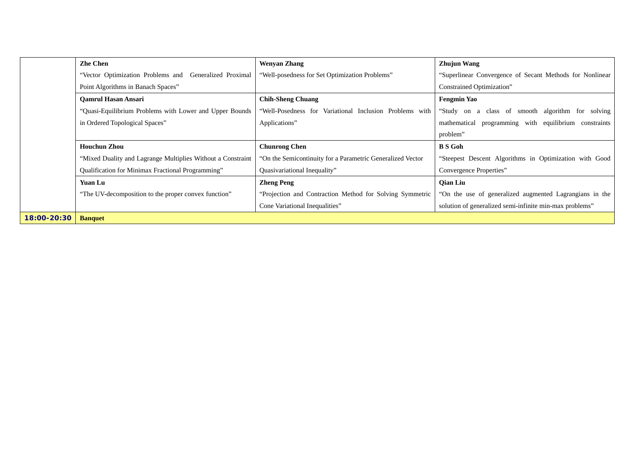|             | <b>Zhe Chen</b>                                             | Wenyan Zhang                                                | <b>Zhujun Wang</b>                                       |
|-------------|-------------------------------------------------------------|-------------------------------------------------------------|----------------------------------------------------------|
|             | "Vector Optimization Problems and Generalized Proximal      | "Well-posedness for Set Optimization Problems"              | "Superlinear Convergence of Secant Methods for Nonlinear |
|             | Point Algorithms in Banach Spaces"                          |                                                             | <b>Constrained Optimization"</b>                         |
|             | <b>Oamrul Hasan Ansari</b>                                  | <b>Chih-Sheng Chuang</b>                                    | <b>Fengmin Yao</b>                                       |
|             | "Quasi-Equilibrium Problems with Lower and Upper Bounds     | "Well-Posedness for Variational Inclusion Problems with     | "Study on a class of smooth algorithm for solving        |
|             | in Ordered Topological Spaces"                              | Applications"                                               | programming with equilibrium constraints<br>mathematical |
|             |                                                             |                                                             | problem"                                                 |
|             | <b>Houchun Zhou</b>                                         | <b>Chunrong Chen</b>                                        | <b>B</b> S Goh                                           |
|             | "Mixed Duality and Lagrange Multiplies Without a Constraint | "On the Semicontinuity for a Parametric Generalized Vector" | "Steepest Descent Algorithms in Optimization with Good   |
|             | Qualification for Minimax Fractional Programming"           | Quasivariational Inequality"                                | Convergence Properties"                                  |
|             | Yuan Lu                                                     | <b>Zheng Peng</b>                                           | <b>Qian Liu</b>                                          |
|             | "The UV-decomposition to the proper convex function"        | "Projection and Contraction Method for Solving Symmetric    | "On the use of generalized augmented Lagrangians in the  |
|             |                                                             | Cone Variational Inequalities"                              | solution of generalized semi-infinite min-max problems"  |
| 18:00-20:30 | <b>Banquet</b>                                              |                                                             |                                                          |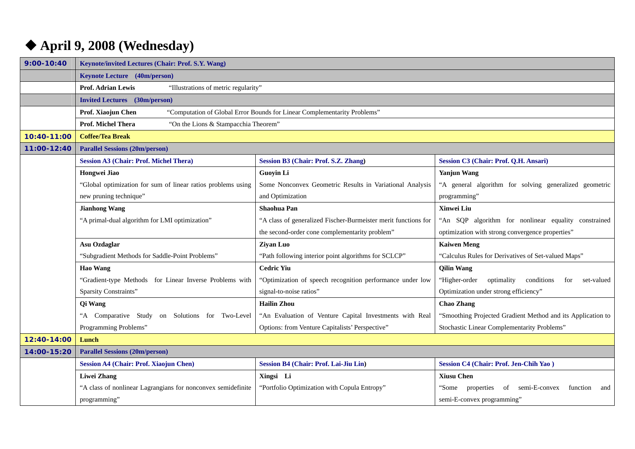## **April 9, 2008 (Wednesday)**

| $9:00 - 10:40$ | <b>Keynote/invited Lectures (Chair: Prof. S.Y. Wang)</b>                                       |                                                                |                                                                |
|----------------|------------------------------------------------------------------------------------------------|----------------------------------------------------------------|----------------------------------------------------------------|
|                | <b>Keynote Lecture</b> (40m/person)                                                            |                                                                |                                                                |
|                | <b>Prof. Adrian Lewis</b><br>"Illustrations of metric regularity"                              |                                                                |                                                                |
|                | <b>Invited Lectures</b> (30m/person)                                                           |                                                                |                                                                |
|                | Prof. Xiaojun Chen<br>"Computation of Global Error Bounds for Linear Complementarity Problems" |                                                                |                                                                |
|                | Prof. Michel Thera<br>"On the Lions & Stampacchia Theorem"                                     |                                                                |                                                                |
| 10:40-11:00    | <b>Coffee/Tea Break</b>                                                                        |                                                                |                                                                |
| 11:00-12:40    | <b>Parallel Sessions (20m/person)</b>                                                          |                                                                |                                                                |
|                | <b>Session A3 (Chair: Prof. Michel Thera)</b>                                                  | <b>Session B3 (Chair: Prof. S.Z. Zhang)</b>                    | Session C3 (Chair: Prof. Q.H. Ansari)                          |
|                | Hongwei Jiao                                                                                   | <b>Guoyin Li</b>                                               | <b>Yanjun Wang</b>                                             |
|                | "Global optimization for sum of linear ratios problems using                                   | Some Nonconvex Geometric Results in Variational Analysis       | "A general algorithm for solving generalized geometric         |
|                | new pruning technique"                                                                         | and Optimization                                               | programming"                                                   |
|                | <b>Jianhong Wang</b>                                                                           | Shaohua Pan                                                    | Xinwei Liu                                                     |
|                | "A primal-dual algorithm for LMI optimization"                                                 | "A class of generalized Fischer-Burmeister merit functions for | "An SQP algorithm for nonlinear equality constrained           |
|                |                                                                                                | the second-order cone complementarity problem"                 | optimization with strong convergence properties"               |
|                | Asu Ozdaglar                                                                                   | Ziyan Luo                                                      | <b>Kaiwen Meng</b>                                             |
|                | "Subgradient Methods for Saddle-Point Problems"                                                | "Path following interior point algorithms for SCLCP"           | "Calculus Rules for Derivatives of Set-valued Maps"            |
|                | <b>Hao Wang</b>                                                                                | <b>Cedric Yiu</b>                                              | <b>Qilin Wang</b>                                              |
|                | "Gradient-type Methods for Linear Inverse Problems with                                        | "Optimization of speech recognition performance under low      | "Higher-order<br>optimality<br>conditions<br>for<br>set-valued |
|                | Sparsity Constraints"                                                                          | signal-to-noise ratios"                                        | Optimization under strong efficiency"                          |
|                | Qi Wang                                                                                        | <b>Hailin Zhou</b>                                             | <b>Chao Zhang</b>                                              |
|                | "A Comparative Study on Solutions for Two-Level                                                | "An Evaluation of Venture Capital Investments with Real        | "Smoothing Projected Gradient Method and its Application to    |
|                | Programming Problems"                                                                          | Options: from Venture Capitalists' Perspective"                | Stochastic Linear Complementarity Problems"                    |
| 12:40-14:00    | Lunch                                                                                          |                                                                |                                                                |
| 14:00-15:20    | <b>Parallel Sessions (20m/person)</b>                                                          |                                                                |                                                                |
|                | <b>Session A4 (Chair: Prof. Xiaojun Chen)</b>                                                  | <b>Session B4 (Chair: Prof. Lai-Jiu Lin)</b>                   | <b>Session C4 (Chair: Prof. Jen-Chih Yao)</b>                  |
|                | <b>Liwei Zhang</b>                                                                             | Xingsi Li                                                      | <b>Xiusu Chen</b>                                              |
|                | "A class of nonlinear Lagrangians for nonconvex semidefinite                                   | "Portfolio Optimization with Copula Entropy"                   | of semi-E-convex<br>"Some properties"<br>function<br>and       |
|                | programming"                                                                                   |                                                                | semi-E-convex programming"                                     |